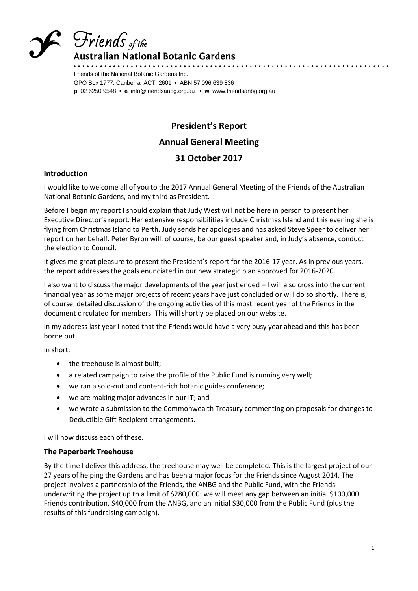

# Friends <sub>of the</sub>

**\ustralian National Botanic Gardens** 

Friends of the National Botanic Gardens Inc. GPO Box 1777, Canberra ACT 2601 • ABN 57 096 639 836 **p** 02 6250 9548 • **e** info@friendsanbg.org.au • **w** www.friendsanbg.org.au

### **President's Report Annual General Meeting 31 October 2017**

#### **Introduction**

I would like to welcome all of you to the 2017 Annual General Meeting of the Friends of the Australian National Botanic Gardens, and my third as President.

Before I begin my report I should explain that Judy West will not be here in person to present her Executive Director's report. Her extensive responsibilities include Christmas Island and this evening she is flying from Christmas Island to Perth. Judy sends her apologies and has asked Steve Speer to deliver her report on her behalf. Peter Byron will, of course, be our guest speaker and, in Judy's absence, conduct the election to Council.

It gives me great pleasure to present the President's report for the 2016-17 year. As in previous years, the report addresses the goals enunciated in our new strategic plan approved for 2016-2020.

I also want to discuss the major developments of the year just ended – I will also cross into the current financial year as some major projects of recent years have just concluded or will do so shortly. There is, of course, detailed discussion of the ongoing activities of this most recent year of the Friends in the document circulated for members. This will shortly be placed on our website.

In my address last year I noted that the Friends would have a very busy year ahead and this has been borne out.

In short:

- the treehouse is almost built;
- a related campaign to raise the profile of the Public Fund is running very well;
- we ran a sold-out and content-rich botanic guides conference;
- we are making major advances in our IT; and
- we wrote a submission to the Commonwealth Treasury commenting on proposals for changes to Deductible Gift Recipient arrangements.

I will now discuss each of these.

#### **The Paperbark Treehouse**

By the time I deliver this address, the treehouse may well be completed. This is the largest project of our 27 years of helping the Gardens and has been a major focus for the Friends since August 2014. The project involves a partnership of the Friends, the ANBG and the Public Fund, with the Friends underwriting the project up to a limit of \$280,000: we will meet any gap between an initial \$100,000 Friends contribution, \$40,000 from the ANBG, and an initial \$30,000 from the Public Fund (plus the results of this fundraising campaign).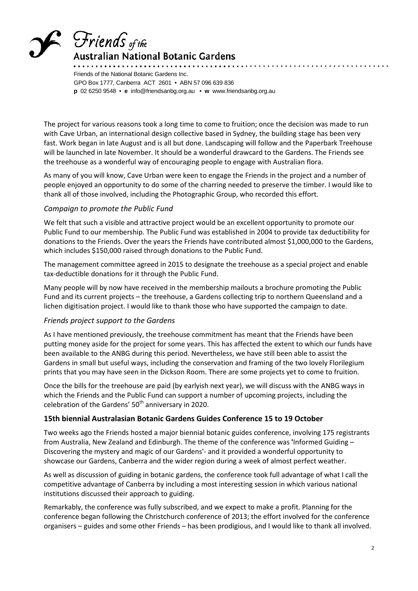## Friends <sub>of the</sub> \ustralian National Botanic Gardens

Friends of the National Botanic Gardens Inc. GPO Box 1777, Canberra ACT 2601 • ABN 57 096 639 836 **p** 02 6250 9548 • **e** info@friendsanbg.org.au • **w** www.friendsanbg.org.au

The project for various reasons took a long time to come to fruition; once the decision was made to run with Cave Urban, an international design collective based in Sydney, the building stage has been very fast. Work began in late August and is all but done. Landscaping will follow and the Paperbark Treehouse will be launched in late November. It should be a wonderful drawcard to the Gardens. The Friends see the treehouse as a wonderful way of encouraging people to engage with Australian flora.

As many of you will know, Cave Urban were keen to engage the Friends in the project and a number of people enjoyed an opportunity to do some of the charring needed to preserve the timber. I would like to thank all of those involved, including the Photographic Group, who recorded this effort.

#### *Campaign to promote the Public Fund*

We felt that such a visible and attractive project would be an excellent opportunity to promote our Public Fund to our membership. The Public Fund was established in 2004 to provide tax deductibility for donations to the Friends. Over the years the Friends have contributed almost \$1,000,000 to the Gardens, which includes \$150,000 raised through donations to the Public Fund.

The management committee agreed in 2015 to designate the treehouse as a special project and enable tax-deductible donations for it through the Public Fund.

Many people will by now have received in the membership mailouts a brochure promoting the Public Fund and its current projects – the treehouse, a Gardens collecting trip to northern Queensland and a lichen digitisation project. I would like to thank those who have supported the campaign to date.

#### *Friends project support to the Gardens*

As I have mentioned previously, the treehouse commitment has meant that the Friends have been putting money aside for the project for some years. This has affected the extent to which our funds have been available to the ANBG during this period. Nevertheless, we have still been able to assist the Gardens in small but useful ways, including the conservation and framing of the two lovely Florilegium prints that you may have seen in the Dickson Room. There are some projects yet to come to fruition.

Once the bills for the treehouse are paid (by earlyish next year), we will discuss with the ANBG ways in which the Friends and the Public Fund can support a number of upcoming projects, including the celebration of the Gardens'  $50<sup>th</sup>$  anniversary in 2020.

#### **15th biennial Australasian Botanic Gardens Guides Conference 15 to 19 October**

Two weeks ago the Friends hosted a major biennial botanic guides conference, involving 175 registrants from Australia, New Zealand and Edinburgh. The theme of the conference was **'**Informed Guiding – Discovering the mystery and magic of our Gardens'- and it provided a wonderful opportunity to showcase our Gardens, Canberra and the wider region during a week of almost perfect weather.

As well as discussion of guiding in botanic gardens, the conference took full advantage of what I call the competitive advantage of Canberra by including a most interesting session in which various national institutions discussed their approach to guiding.

Remarkably, the conference was fully subscribed, and we expect to make a profit. Planning for the conference began following the Christchurch conference of 2013; the effort involved for the conference organisers – guides and some other Friends – has been prodigious, and I would like to thank all involved.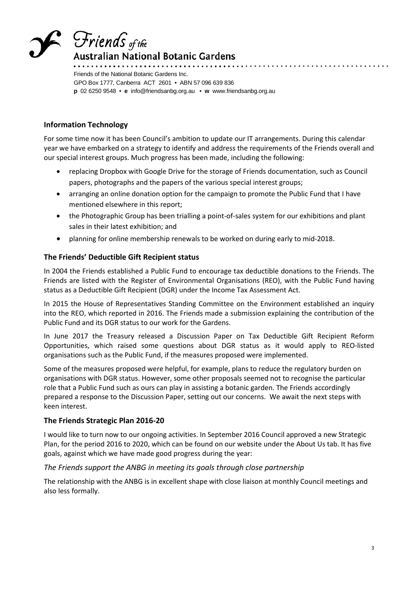

Friends of the National Botanic Gardens Inc. GPO Box 1777, Canberra ACT 2601 • ABN 57 096 639 836 **p** 02 6250 9548 • **e** info@friendsanbg.org.au • **w** www.friendsanbg.org.au

#### **Information Technology**

For some time now it has been Council's ambition to update our IT arrangements. During this calendar year we have embarked on a strategy to identify and address the requirements of the Friends overall and our special interest groups. Much progress has been made, including the following:

- replacing Dropbox with Google Drive for the storage of Friends documentation, such as Council papers, photographs and the papers of the various special interest groups;
- arranging an online donation option for the campaign to promote the Public Fund that I have mentioned elsewhere in this report;
- the Photographic Group has been trialling a point-of-sales system for our exhibitions and plant sales in their latest exhibition; and
- planning for online membership renewals to be worked on during early to mid-2018.

#### **The Friends' Deductible Gift Recipient status**

In 2004 the Friends established a Public Fund to encourage tax deductible donations to the Friends. The Friends are listed with the Register of Environmental Organisations (REO), with the Public Fund having status as a Deductible Gift Recipient (DGR) under the Income Tax Assessment Act.

In 2015 the House of Representatives Standing Committee on the Environment established an inquiry into the REO, which reported in 2016. The Friends made a submission explaining the contribution of the Public Fund and its DGR status to our work for the Gardens.

In June 2017 the Treasury released a Discussion Paper on Tax Deductible Gift Recipient Reform Opportunities, which raised some questions about DGR status as it would apply to REO-listed organisations such as the Public Fund, if the measures proposed were implemented.

Some of the measures proposed were helpful, for example, plans to reduce the regulatory burden on organisations with DGR status. However, some other proposals seemed not to recognise the particular role that a Public Fund such as ours can play in assisting a botanic garden. The Friends accordingly prepared a response to the Discussion Paper, setting out our concerns. We await the next steps with keen interest.

#### **The Friends Strategic Plan 2016-20**

I would like to turn now to our ongoing activities. In September 2016 Council approved a new Strategic Plan, for the period 2016 to 2020, which can be found on our website under the About Us tab. It has five goals, against which we have made good progress during the year:

#### *The Friends support the ANBG in meeting its goals through close partnership*

The relationship with the ANBG is in excellent shape with close liaison at monthly Council meetings and also less formally.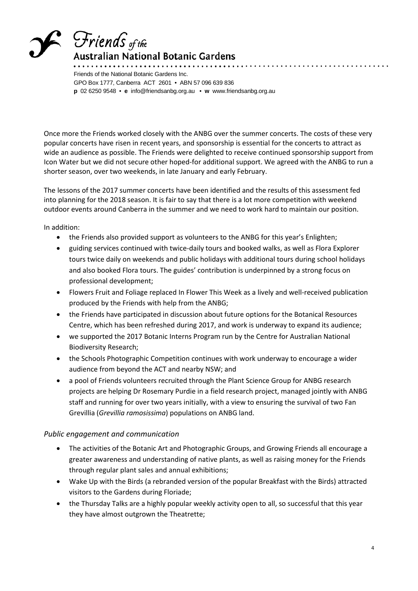

### **\ustralian National Botanic Gardens**

Friends of the National Botanic Gardens Inc. GPO Box 1777, Canberra ACT 2601 • ABN 57 096 639 836 **p** 02 6250 9548 • **e** info@friendsanbg.org.au • **w** www.friendsanbg.org.au

Once more the Friends worked closely with the ANBG over the summer concerts. The costs of these very popular concerts have risen in recent years, and sponsorship is essential for the concerts to attract as wide an audience as possible. The Friends were delighted to receive continued sponsorship support from Icon Water but we did not secure other hoped-for additional support. We agreed with the ANBG to run a shorter season, over two weekends, in late January and early February.

The lessons of the 2017 summer concerts have been identified and the results of this assessment fed into planning for the 2018 season. It is fair to say that there is a lot more competition with weekend outdoor events around Canberra in the summer and we need to work hard to maintain our position.

In addition:

- the Friends also provided support as volunteers to the ANBG for this year's Enlighten;
- guiding services continued with twice-daily tours and booked walks, as well as Flora Explorer tours twice daily on weekends and public holidays with additional tours during school holidays and also booked Flora tours. The guides' contribution is underpinned by a strong focus on professional development;
- Flowers Fruit and Foliage replaced In Flower This Week as a lively and well-received publication produced by the Friends with help from the ANBG;
- the Friends have participated in discussion about future options for the Botanical Resources Centre, which has been refreshed during 2017, and work is underway to expand its audience;
- we supported the 2017 Botanic Interns Program run by the Centre for Australian National Biodiversity Research;
- the Schools Photographic Competition continues with work underway to encourage a wider audience from beyond the ACT and nearby NSW; and
- a pool of Friends volunteers recruited through the Plant Science Group for ANBG research projects are helping Dr Rosemary Purdie in a field research project, managed jointly with ANBG staff and running for over two years initially, with a view to ensuring the survival of two Fan Grevillia (*Grevillia ramosissima*) populations on ANBG land.

#### *Public engagement and communication*

- The activities of the Botanic Art and Photographic Groups, and Growing Friends all encourage a greater awareness and understanding of native plants, as well as raising money for the Friends through regular plant sales and annual exhibitions;
- Wake Up with the Birds (a rebranded version of the popular Breakfast with the Birds) attracted visitors to the Gardens during Floriade;
- the Thursday Talks are a highly popular weekly activity open to all, so successful that this year they have almost outgrown the Theatrette;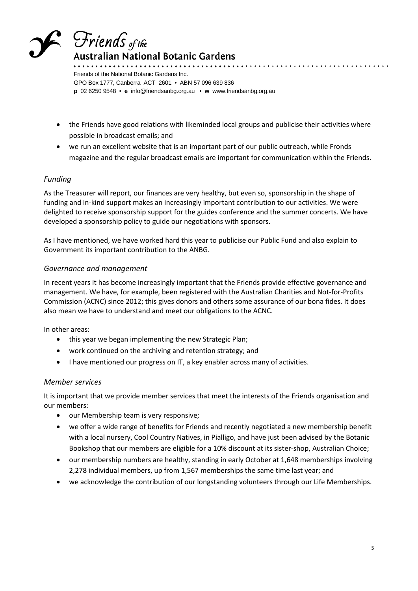

Friends of the National Botanic Gardens Inc. GPO Box 1777, Canberra ACT 2601 • ABN 57 096 639 836 **p** 02 6250 9548 • **e** info@friendsanbg.org.au • **w** www.friendsanbg.org.au

- the Friends have good relations with likeminded local groups and publicise their activities where possible in broadcast emails; and
- we run an excellent website that is an important part of our public outreach, while Fronds magazine and the regular broadcast emails are important for communication within the Friends.

#### *Funding*

As the Treasurer will report, our finances are very healthy, but even so, sponsorship in the shape of funding and in-kind support makes an increasingly important contribution to our activities. We were delighted to receive sponsorship support for the guides conference and the summer concerts. We have developed a sponsorship policy to guide our negotiations with sponsors.

As I have mentioned, we have worked hard this year to publicise our Public Fund and also explain to Government its important contribution to the ANBG.

#### *Governance and management*

In recent years it has become increasingly important that the Friends provide effective governance and management. We have, for example, been registered with the Australian Charities and Not-for-Profits Commission (ACNC) since 2012; this gives donors and others some assurance of our bona fides. It does also mean we have to understand and meet our obligations to the ACNC.

In other areas:

- this year we began implementing the new Strategic Plan;
- work continued on the archiving and retention strategy; and
- I have mentioned our progress on IT, a key enabler across many of activities.

#### *Member services*

It is important that we provide member services that meet the interests of the Friends organisation and our members:

- our Membership team is very responsive;
- we offer a wide range of benefits for Friends and recently negotiated a new membership benefit with a local nursery, Cool Country Natives, in Pialligo, and have just been advised by the Botanic Bookshop that our members are eligible for a 10% discount at its sister-shop, Australian Choice;
- our membership numbers are healthy, standing in early October at 1,648 memberships involving 2,278 individual members, up from 1,567 memberships the same time last year; and
- we acknowledge the contribution of our longstanding volunteers through our Life Memberships.